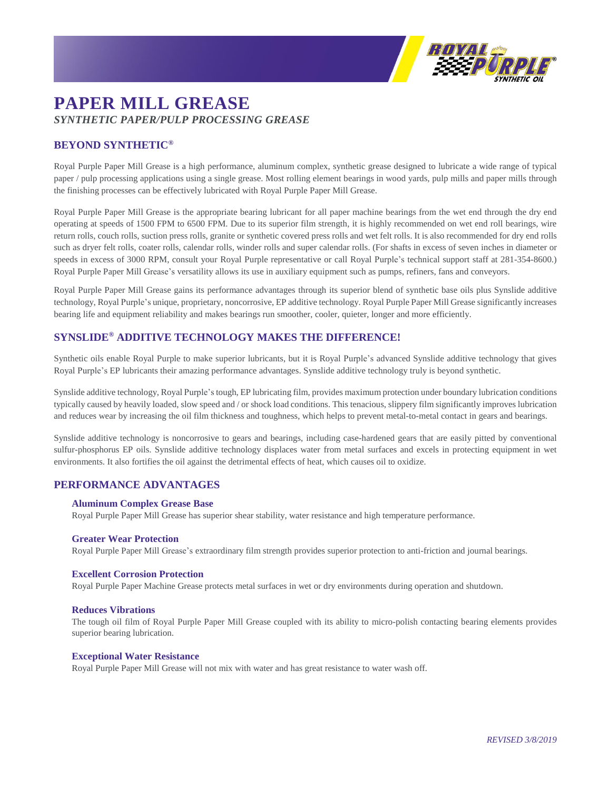

# **PAPER MILL GREASE** *SYNTHETIC PAPER/PULP PROCESSING GREASE*

# **BEYOND SYNTHETIC®**

Royal Purple Paper Mill Grease is a high performance, aluminum complex, synthetic grease designed to lubricate a wide range of typical paper / pulp processing applications using a single grease. Most rolling element bearings in wood yards, pulp mills and paper mills through the finishing processes can be effectively lubricated with Royal Purple Paper Mill Grease.

Royal Purple Paper Mill Grease is the appropriate bearing lubricant for all paper machine bearings from the wet end through the dry end operating at speeds of 1500 FPM to 6500 FPM. Due to its superior film strength, it is highly recommended on wet end roll bearings, wire return rolls, couch rolls, suction press rolls, granite or synthetic covered press rolls and wet felt rolls. It is also recommended for dry end rolls such as dryer felt rolls, coater rolls, calendar rolls, winder rolls and super calendar rolls. (For shafts in excess of seven inches in diameter or speeds in excess of 3000 RPM, consult your Royal Purple representative or call Royal Purple's technical support staff at 281-354-8600.) Royal Purple Paper Mill Grease's versatility allows its use in auxiliary equipment such as pumps, refiners, fans and conveyors.

Royal Purple Paper Mill Grease gains its performance advantages through its superior blend of synthetic base oils plus Synslide additive technology, Royal Purple's unique, proprietary, noncorrosive, EP additive technology. Royal Purple Paper Mill Grease significantly increases bearing life and equipment reliability and makes bearings run smoother, cooler, quieter, longer and more efficiently.

# **SYNSLIDE® ADDITIVE TECHNOLOGY MAKES THE DIFFERENCE!**

Synthetic oils enable Royal Purple to make superior lubricants, but it is Royal Purple's advanced Synslide additive technology that gives Royal Purple's EP lubricants their amazing performance advantages. Synslide additive technology truly is beyond synthetic.

Synslide additive technology, Royal Purple's tough, EP lubricating film, provides maximum protection under boundary lubrication conditions typically caused by heavily loaded, slow speed and / or shock load conditions. This tenacious, slippery film significantly improves lubrication and reduces wear by increasing the oil film thickness and toughness, which helps to prevent metal-to-metal contact in gears and bearings.

Synslide additive technology is noncorrosive to gears and bearings, including case-hardened gears that are easily pitted by conventional sulfur-phosphorus EP oils. Synslide additive technology displaces water from metal surfaces and excels in protecting equipment in wet environments. It also fortifies the oil against the detrimental effects of heat, which causes oil to oxidize.

## **PERFORMANCE ADVANTAGES**

### **Aluminum Complex Grease Base**

Royal Purple Paper Mill Grease has superior shear stability, water resistance and high temperature performance.

#### **Greater Wear Protection**

Royal Purple Paper Mill Grease's extraordinary film strength provides superior protection to anti-friction and journal bearings.

#### **Excellent Corrosion Protection**

Royal Purple Paper Machine Grease protects metal surfaces in wet or dry environments during operation and shutdown.

#### **Reduces Vibrations**

The tough oil film of Royal Purple Paper Mill Grease coupled with its ability to micro-polish contacting bearing elements provides superior bearing lubrication.

#### **Exceptional Water Resistance**

Royal Purple Paper Mill Grease will not mix with water and has great resistance to water wash off.